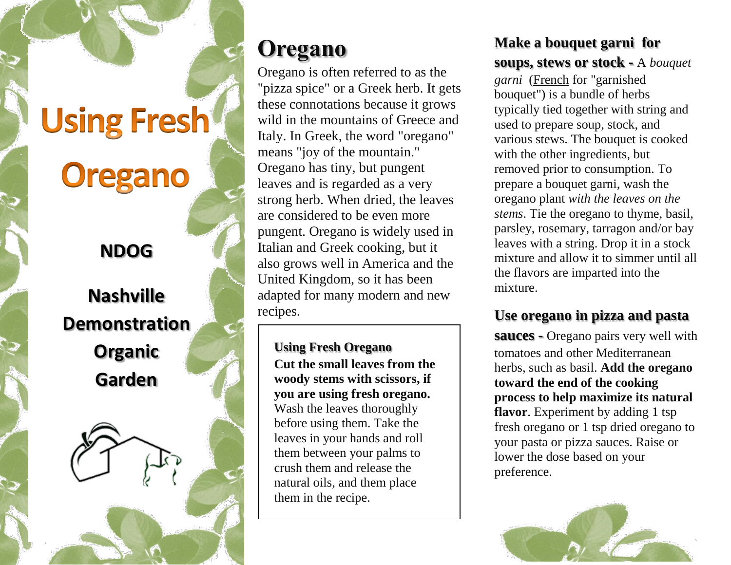# **Using Fresh Oregano**

### **NDOG**

# **Nashville Demonstration Organic Garden**



# **[Oregano](http://www.wikihow.com/Use-Oregano-in-Cooking)**

Oregano is often referred to as the "pizza spice" or a Greek herb. It gets these connotations because it grows wild in the mountains of Greece and Italy. In Greek, the word "oregano" means "joy of the mountain." Oregano has tiny, but pungent leaves and is regarded as a very strong herb. When dried, the leaves are considered to be even more pungent. Oregano is widely used in Italian and Greek cooking, but it also grows well in America and the United Kingdom, so it has been adapted for many modern and new recipes.

#### **Using Fresh Oregano**

**Cut the small leaves from the woody stems with scissors, if you are using fresh oregano.** Wash the leaves thoroughly before using them. Take the leaves in your hands and roll them between your palms to crush them and release the natural oils, and them place them in the recipe.

#### **Make a bouquet garni for soups, stews or stock -** A *bouquet*

*garni* [\(French](http://en.wikipedia.org/wiki/French_language) for "garnished bouquet") is a bundle of herbs typically tied together with string and used to prepare [soup,](http://en.wikipedia.org/wiki/Soup) [stock,](http://en.wikipedia.org/wiki/Stock_(food)) and various [stews.](http://en.wikipedia.org/wiki/Stew) The bouquet is cooked with the other ingredients, but removed prior to consumption. To prepare a bouquet garni, wash the oregano plant *with the leaves on the stems*. Tie the oregano to thyme, basil, parsley, rosemary, tarragon and/or bay leaves with a string. Drop it in a stock mixture and allow it to simmer until all the flavors are imparted into the mixture.

#### **Use oregano in pizza and pasta**

**sauces -** Oregano pairs very well with tomatoes and other Mediterranean herbs, such as basil. **Add the oregano toward the end of the cooking process to help maximize its natural flavor**. Experiment by adding 1 tsp fresh oregano or 1 tsp dried oregano to your pasta or pizza sauces. Raise or lower the dose based on your preference.